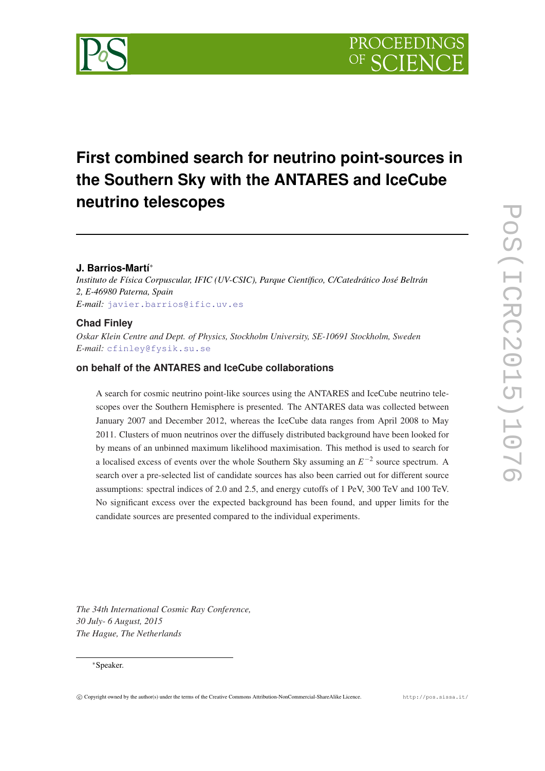

# **First combined search for neutrino point-sources in the Southern Sky with the ANTARES and IceCube neutrino telescopes**

# **J. Barrios-Martí**<sup>∗</sup>

*Instituto de Física Corpuscular, IFIC (UV-CSIC), Parque Científico, C/Catedrático José Beltrán 2, E-46980 Paterna, Spain E-mail:* [javier.barrios@ific.uv.es](mailto:javier.barrios@ific.uv.es)

## **Chad Finley**

*Oskar Klein Centre and Dept. of Physics, Stockholm University, SE-10691 Stockholm, Sweden E-mail:* [cfinley@fysik.su.se](mailto:cfinley@fysik.su.se)

# **on behalf of the ANTARES and IceCube collaborations**

A search for cosmic neutrino point-like sources using the ANTARES and IceCube neutrino telescopes over the Southern Hemisphere is presented. The ANTARES data was collected between January 2007 and December 2012, whereas the IceCube data ranges from April 2008 to May 2011. Clusters of muon neutrinos over the diffusely distributed background have been looked for by means of an unbinned maximum likelihood maximisation. This method is used to search for a localised excess of events over the whole Southern Sky assuming an  $E^{-2}$  source spectrum. A search over a pre-selected list of candidate sources has also been carried out for different source assumptions: spectral indices of 2.0 and 2.5, and energy cutoffs of 1 PeV, 300 TeV and 100 TeV. No significant excess over the expected background has been found, and upper limits for the candidate sources are presented compared to the individual experiments.

*The 34th International Cosmic Ray Conference, 30 July- 6 August, 2015 The Hague, The Netherlands*

#### <sup>∗</sup>Speaker.

PoS(ICRC2015)1076

POS(ICRC2015)1076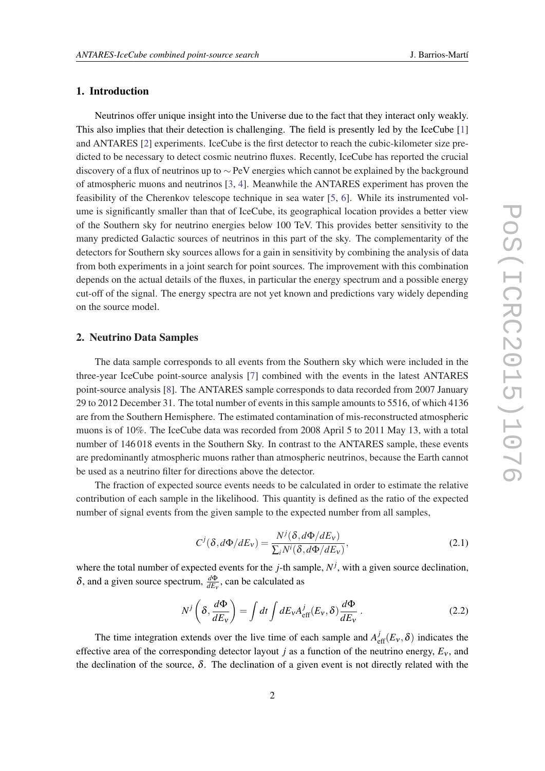# <span id="page-1-0"></span>1. Introduction

Neutrinos offer unique insight into the Universe due to the fact that they interact only weakly. This also implies that their detection is challenging. The field is presently led by the IceCube [[1](#page-7-0)] and ANTARES [\[2\]](#page-7-0) experiments. IceCube is the first detector to reach the cubic-kilometer size predicted to be necessary to detect cosmic neutrino fluxes. Recently, IceCube has reported the crucial discovery of a flux of neutrinos up to ∼ PeV energies which cannot be explained by the background of atmospheric muons and neutrinos [\[3,](#page-7-0) [4\]](#page-7-0). Meanwhile the ANTARES experiment has proven the feasibility of the Cherenkov telescope technique in sea water [\[5,](#page-7-0) [6](#page-7-0)]. While its instrumented volume is significantly smaller than that of IceCube, its geographical location provides a better view of the Southern sky for neutrino energies below 100 TeV. This provides better sensitivity to the many predicted Galactic sources of neutrinos in this part of the sky. The complementarity of the detectors for Southern sky sources allows for a gain in sensitivity by combining the analysis of data from both experiments in a joint search for point sources. The improvement with this combination depends on the actual details of the fluxes, in particular the energy spectrum and a possible energy cut-off of the signal. The energy spectra are not yet known and predictions vary widely depending on the source model.

# 2. Neutrino Data Samples

The data sample corresponds to all events from the Southern sky which were included in the three-year IceCube point-source analysis [\[7\]](#page-7-0) combined with the events in the latest ANTARES point-source analysis [[8](#page-7-0)]. The ANTARES sample corresponds to data recorded from 2007 January 29 to 2012 December 31. The total number of events in this sample amounts to 5516, of which 4136 are from the Southern Hemisphere. The estimated contamination of mis-reconstructed atmospheric muons is of 10%. The IceCube data was recorded from 2008 April 5 to 2011 May 13, with a total number of 146 018 events in the Southern Sky. In contrast to the ANTARES sample, these events are predominantly atmospheric muons rather than atmospheric neutrinos, because the Earth cannot be used as a neutrino filter for directions above the detector.

The fraction of expected source events needs to be calculated in order to estimate the relative contribution of each sample in the likelihood. This quantity is defined as the ratio of the expected number of signal events from the given sample to the expected number from all samples,

$$
C^{j}(\delta, d\Phi/dE_{v}) = \frac{N^{j}(\delta, d\Phi/dE_{v})}{\sum_{i} N^{i}(\delta, d\Phi/dE_{v})},
$$
\n(2.1)

where the total number of expected events for the  $j$ -th sample,  $N^j$ , with a given source declination,  $\delta$ , and a given source spectrum,  $\frac{d\Phi}{dE_v}$ , can be calculated as

$$
N^{j}\left(\delta, \frac{d\Phi}{dE_{v}}\right) = \int dt \int dE_{v} A_{\text{eff}}^{j}(E_{v}, \delta) \frac{d\Phi}{dE_{v}}.
$$
 (2.2)

The time integration extends over the live time of each sample and  $A_{\text{eff}}^{j}(E_{v},\delta)$  indicates the effective area of the corresponding detector layout *j* as a function of the neutrino energy,  $E_v$ , and the declination of the source,  $\delta$ . The declination of a given event is not directly related with the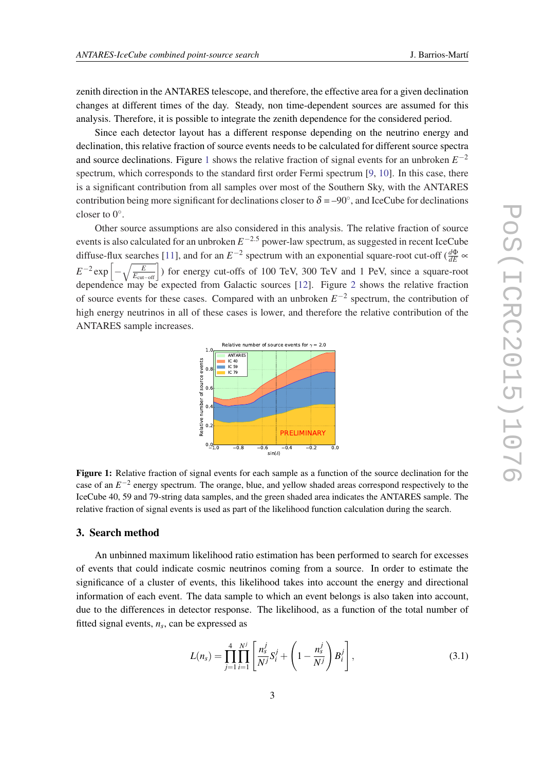<span id="page-2-0"></span>zenith direction in the ANTARES telescope, and therefore, the effective area for a given declination changes at different times of the day. Steady, non time-dependent sources are assumed for this analysis. Therefore, it is possible to integrate the zenith dependence for the considered period.

Since each detector layout has a different response depending on the neutrino energy and declination, this relative fraction of source events needs to be calculated for different source spectra and source declinations. Figure 1 shows the relative fraction of signal events for an unbroken  $E^{-2}$ spectrum, which corresponds to the standard first order Fermi spectrum [[9](#page-7-0), [10\]](#page-7-0). In this case, there is a significant contribution from all samples over most of the Southern Sky, with the ANTARES contribution being more significant for declinations closer to  $\delta = -90^\circ$ , and IceCube for declinations closer to  $0^\circ$ .

Other source assumptions are also considered in this analysis. The relative fraction of source events is also calculated for an unbroken *E* <sup>−</sup>2.<sup>5</sup> power-law spectrum, as suggested in recent IceCube diffuse-flux searches [\[11](#page-7-0)], and for an  $E^{-2}$  spectrum with an exponential square-root cut-off ( $\frac{d\Phi}{dE}$   $\propto$  $E^{-2} \exp \left[-\sqrt{\frac{E}{E_{\text{cut-off}}}}\right]$  for energy cut-offs of 100 TeV, 300 TeV and 1 PeV, since a square-root dependence may be expected from Galactic sources [[12\]](#page-7-0). Figure [2](#page-3-0) shows the relative fraction of source events for these cases. Compared with an unbroken  $E^{-2}$  spectrum, the contribution of high energy neutrinos in all of these cases is lower, and therefore the relative contribution of the ANTARES sample increases.



Figure 1: Relative fraction of signal events for each sample as a function of the source declination for the case of an *E* −2 energy spectrum. The orange, blue, and yellow shaded areas correspond respectively to the IceCube 40, 59 and 79-string data samples, and the green shaded area indicates the ANTARES sample. The relative fraction of signal events is used as part of the likelihood function calculation during the search.

#### 3. Search method

An unbinned maximum likelihood ratio estimation has been performed to search for excesses of events that could indicate cosmic neutrinos coming from a source. In order to estimate the significance of a cluster of events, this likelihood takes into account the energy and directional information of each event. The data sample to which an event belongs is also taken into account, due to the differences in detector response. The likelihood, as a function of the total number of fitted signal events,  $n<sub>s</sub>$ , can be expressed as

$$
L(n_s) = \prod_{j=1}^{4} \prod_{i=1}^{N^j} \left[ \frac{n_s^j}{N^j} S_i^j + \left( 1 - \frac{n_s^j}{N^j} \right) B_i^j \right],
$$
 (3.1)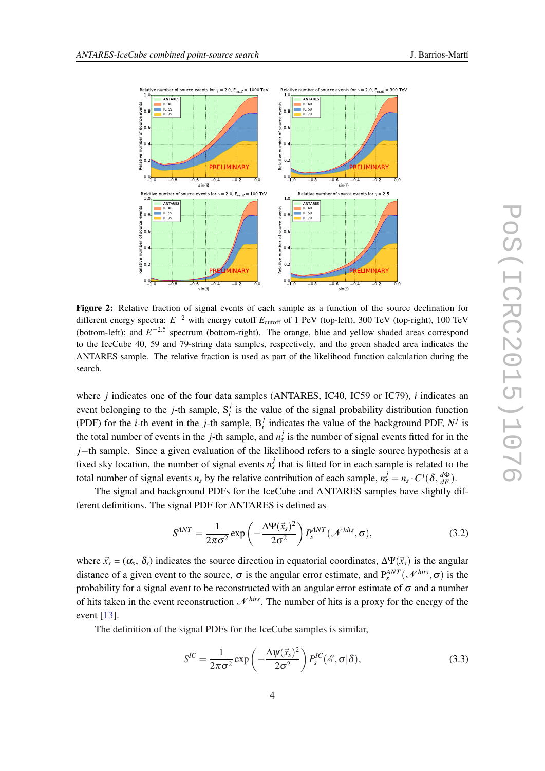<span id="page-3-0"></span>

Figure 2: Relative fraction of signal events of each sample as a function of the source declination for different energy spectra:  $E^{-2}$  with energy cutoff  $E_{\text{cutoff}}$  of 1 PeV (top-left), 300 TeV (top-right), 100 TeV (bottom-left); and  $E^{-2.5}$  spectrum (bottom-right). The orange, blue and yellow shaded areas correspond to the IceCube 40, 59 and 79-string data samples, respectively, and the green shaded area indicates the ANTARES sample. The relative fraction is used as part of the likelihood function calculation during the search.

where *j* indicates one of the four data samples (ANTARES, IC40, IC59 or IC79), *i* indicates an event belonging to the *j*-th sample,  $S_i^j$  is the value of the signal probability distribution function (PDF) for the *i*-th event in the *j*-th sample,  $B_i^j$  indicates the value of the background PDF,  $N^j$  is the total number of events in the *j*-th sample, and  $n_s^j$  is the number of signal events fitted for in the *j*−th sample. Since a given evaluation of the likelihood refers to a single source hypothesis at a fixed sky location, the number of signal events  $n_s^j$  that is fitted for in each sample is related to the total number of signal events  $n_s$  by the relative contribution of each sample,  $n_s^j = n_s \cdot C^j(\delta, \frac{d\Phi}{dE})$ .

The signal and background PDFs for the IceCube and ANTARES samples have slightly different definitions. The signal PDF for ANTARES is defined as

$$
S^{ANT} = \frac{1}{2\pi\sigma^2} \exp\left(-\frac{\Delta \Psi(\vec{x}_s)^2}{2\sigma^2}\right) P_s^{ANT}(\mathcal{N}^{hits}, \sigma),\tag{3.2}
$$

where  $\vec{x}_s = (\alpha_s, \delta_s)$  indicates the source direction in equatorial coordinates,  $\Delta \Psi(\vec{x}_s)$  is the angular distance of a given event to the source,  $\sigma$  is the angular error estimate, and  $P_s^{ANT}(\mathcal{N}^{hits}, \sigma)$  is the probability for a signal event to be reconstructed with an angular error estimate of  $\sigma$  and a number of hits taken in the event reconstruction  $\mathcal{N}^{hits}$ . The number of hits is a proxy for the energy of the event [[13\]](#page-7-0).

The definition of the signal PDFs for the IceCube samples is similar,

$$
S^{IC} = \frac{1}{2\pi\sigma^2} \exp\left(-\frac{\Delta \psi(\vec{x}_s)^2}{2\sigma^2}\right) P_s^{IC}(\mathscr{E}, \sigma | \delta), \tag{3.3}
$$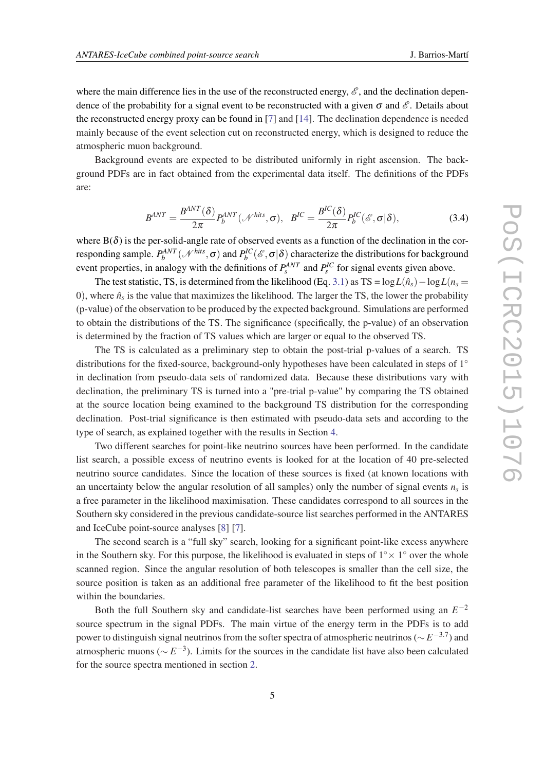where the main difference lies in the use of the reconstructed energy,  $\mathscr{E}$ , and the declination dependence of the probability for a signal event to be reconstructed with a given  $\sigma$  and  $\mathscr E$ . Details about the reconstructed energy proxy can be found in [\[7\]](#page-7-0) and [\[14](#page-7-0)]. The declination dependence is needed mainly because of the event selection cut on reconstructed energy, which is designed to reduce the atmospheric muon background.

Background events are expected to be distributed uniformly in right ascension. The background PDFs are in fact obtained from the experimental data itself. The definitions of the PDFs are:

$$
B^{ANT} = \frac{B^{ANT}(\delta)}{2\pi} P_b^{ANT}(\mathcal{N}^{hits}, \sigma), \quad B^{IC} = \frac{B^{IC}(\delta)}{2\pi} P_b^{IC}(\mathcal{E}, \sigma | \delta), \tag{3.4}
$$

where  $B(\delta)$  is the per-solid-angle rate of observed events as a function of the declination in the corresponding sample.  $P_b^{ANT}(\mathcal{N}^{hits}, \sigma)$  and  $P_b^{IC}(\mathscr{E}, \sigma | \delta)$  characterize the distributions for background event properties, in analogy with the definitions of  $P_s^{ANT}$  and  $P_s^{IC}$  for signal events given above.

The test statistic, TS, is determined from the likelihood (Eq. [3.1\)](#page-2-0) as TS =  $\log L(\hat{n}_s) - \log L(n_s =$ 0), where  $\hat{n}_s$  is the value that maximizes the likelihood. The larger the TS, the lower the probability (p-value) of the observation to be produced by the expected background. Simulations are performed to obtain the distributions of the TS. The significance (specifically, the p-value) of an observation is determined by the fraction of TS values which are larger or equal to the observed TS.

The TS is calculated as a preliminary step to obtain the post-trial p-values of a search. TS distributions for the fixed-source, background-only hypotheses have been calculated in steps of 1◦ in declination from pseudo-data sets of randomized data. Because these distributions vary with declination, the preliminary TS is turned into a "pre-trial p-value" by comparing the TS obtained at the source location being examined to the background TS distribution for the corresponding declination. Post-trial significance is then estimated with pseudo-data sets and according to the type of search, as explained together with the results in Section [4.](#page-5-0)

Two different searches for point-like neutrino sources have been performed. In the candidate list search, a possible excess of neutrino events is looked for at the location of 40 pre-selected neutrino source candidates. Since the location of these sources is fixed (at known locations with an uncertainty below the angular resolution of all samples) only the number of signal events *n<sup>s</sup>* is a free parameter in the likelihood maximisation. These candidates correspond to all sources in the Southern sky considered in the previous candidate-source list searches performed in the ANTARES and IceCube point-source analyses [\[8\]](#page-7-0) [[7](#page-7-0)].

The second search is a "full sky" search, looking for a significant point-like excess anywhere in the Southern sky. For this purpose, the likelihood is evaluated in steps of  $1° \times 1°$  over the whole scanned region. Since the angular resolution of both telescopes is smaller than the cell size, the source position is taken as an additional free parameter of the likelihood to fit the best position within the boundaries.

Both the full Southern sky and candidate-list searches have been performed using an  $E^{-2}$ source spectrum in the signal PDFs. The main virtue of the energy term in the PDFs is to add power to distinguish signal neutrinos from the softer spectra of atmospheric neutrinos (∼ *E* −3.7 ) and atmospheric muons (∼ *E* −3 ). Limits for the sources in the candidate list have also been calculated for the source spectra mentioned in section [2.](#page-1-0)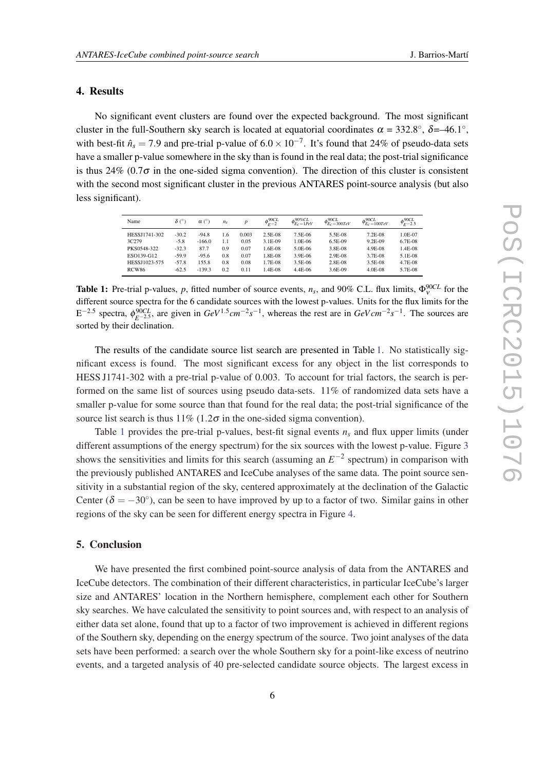#### <span id="page-5-0"></span>4. Results

No significant event clusters are found over the expected background. The most significant cluster in the full-Southern sky search is located at equatorial coordinates  $\alpha = 332.8^{\circ}$ ,  $\delta = -46.1^{\circ}$ , with best-fit  $\hat{n}_s = 7.9$  and pre-trial p-value of  $6.0 \times 10^{-7}$ . It's found that 24% of pseudo-data sets have a smaller p-value somewhere in the sky than is found in the real data; the post-trial significance is thus 24% (0.7 $\sigma$  in the one-sided sigma convention). The direction of this cluster is consistent with the second most significant cluster in the previous ANTARES point-source analysis (but also less significant).

| Name          | $\delta$ (°) | $\alpha$ (°) | $n_{\rm s}$ |       | $\phi_{F-2}^{90CL}$ | $\phi_{E_C=1PeV}^{90\%CL}$ | $\phi_{E_c=300 TeV}^{90CL}$ | $\phi_{E_C=100TeV}^{90CL}$ | $\phi_{F-2.5}^{90CL}$ |
|---------------|--------------|--------------|-------------|-------|---------------------|----------------------------|-----------------------------|----------------------------|-----------------------|
| HESSJ1741-302 | $-30.2$      | $-94.8$      | 1.6         | 0.003 | 2.5E-08             | 7.5E-06                    | 5.5E-08                     | 7.2E-08                    | 1.0E-07               |
| 3C279         | $-5.8$       | $-166.0$     | 1.1         | 0.05  | 3.1E-09             | 1.0E-06                    | 6.5E-09                     | 9.2E-09                    | 6.7E-08               |
| PKS0548-322   | $-32.3$      | 87.7         | 0.9         | 0.07  | 1.6E-08             | 5.0E-06                    | 3.8E-08                     | 4.9E-08                    | 1.4E-08               |
| ESO139-G12    | $-59.9$      | $-95.6$      | 0.8         | 0.07  | 1.8E-08             | 3.9E-06                    | $2.9E-08$                   | 3.7E-08                    | 5.1E-08               |
| HESSJ1023-575 | $-57.8$      | 155.8        | 0.8         | 0.08  | 1.7E-08             | 3.5E-06                    | 2.8E-08                     | 3.5E-08                    | 4.7E-08               |
| RCW86         | $-62.5$      | $-139.3$     | 0.2         | 0.11  | 1.4E-08             | 4.4E-06                    | 3.6E-09                     | 4.0E-08                    | 5.7E-08               |

**Table 1:** Pre-trial p-values, *p*, fitted number of source events,  $n_s$ , and 90% C.L. flux limits,  $\Phi_{v}^{90CL}$  for the different source spectra for the 6 candidate sources with the lowest p-values. Units for the flux limits for the  $E^{-2.5}$  spectra,  $\phi_{E^{-2.5}}^{90CL}$ , are given in  $GeV^{1.5}$ cm<sup>-2</sup>s<sup>-1</sup>, whereas the rest are in  $GeVcm^{-2}s^{-1}$ . The sources are sorted by their declination.

The results of the candidate source list search are presented in Table 1. No statistically significant excess is found. The most significant excess for any object in the list corresponds to HESS J1741-302 with a pre-trial p-value of 0.003. To account for trial factors, the search is performed on the same list of sources using pseudo data-sets. 11% of randomized data sets have a smaller p-value for some source than that found for the real data; the post-trial significance of the source list search is thus  $11\%$  (1.2 $\sigma$  in the one-sided sigma convention).

Table 1 provides the pre-trial p-values, best-fit signal events *n<sup>s</sup>* and flux upper limits (under different assumptions of the energy spectrum) for the six sources with the lowest p-value. Figure [3](#page-6-0) shows the sensitivities and limits for this search (assuming an  $E^{-2}$  spectrum) in comparison with the previously published ANTARES and IceCube analyses of the same data. The point source sensitivity in a substantial region of the sky, centered approximately at the declination of the Galactic Center ( $\delta = -30^{\circ}$ ), can be seen to have improved by up to a factor of two. Similar gains in other regions of the sky can be seen for different energy spectra in Figure [4.](#page-6-0)

### 5. Conclusion

We have presented the first combined point-source analysis of data from the ANTARES and IceCube detectors. The combination of their different characteristics, in particular IceCube's larger size and ANTARES' location in the Northern hemisphere, complement each other for Southern sky searches. We have calculated the sensitivity to point sources and, with respect to an analysis of either data set alone, found that up to a factor of two improvement is achieved in different regions of the Southern sky, depending on the energy spectrum of the source. Two joint analyses of the data sets have been performed: a search over the whole Southern sky for a point-like excess of neutrino events, and a targeted analysis of 40 pre-selected candidate source objects. The largest excess in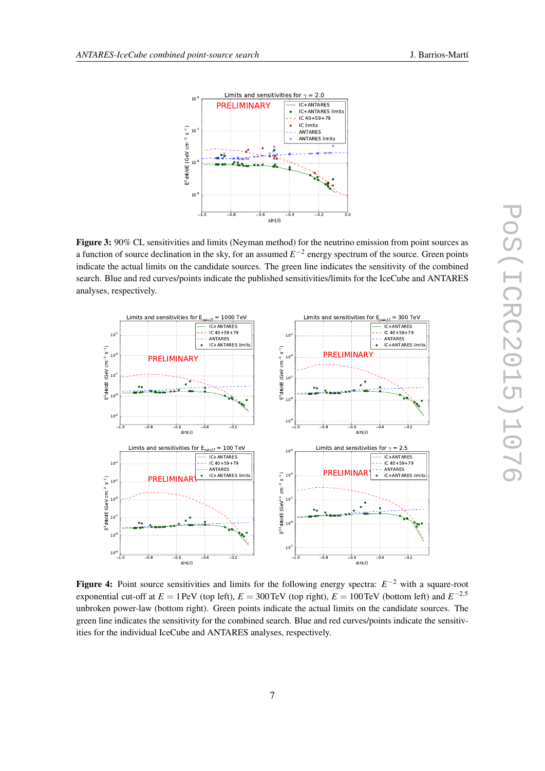<span id="page-6-0"></span>

Figure 3: 90% CL sensitivities and limits (Neyman method) for the neutrino emission from point sources as a function of source declination in the sky, for an assumed  $E^{-2}$  energy spectrum of the source. Green points indicate the actual limits on the candidate sources. The green line indicates the sensitivity of the combined search. Blue and red curves/points indicate the published sensitivities/limits for the IceCube and ANTARES analyses, respectively.



Figure 4: Point source sensitivities and limits for the following energy spectra: *E* <sup>−</sup><sup>2</sup> with a square-root exponential cut-off at  $E = 1$  PeV (top left),  $E = 300$  TeV (top right),  $E = 100$  TeV (bottom left) and  $E^{-2.5}$ unbroken power-law (bottom right). Green points indicate the actual limits on the candidate sources. The green line indicates the sensitivity for the combined search. Blue and red curves/points indicate the sensitivities for the individual IceCube and ANTARES analyses, respectively.